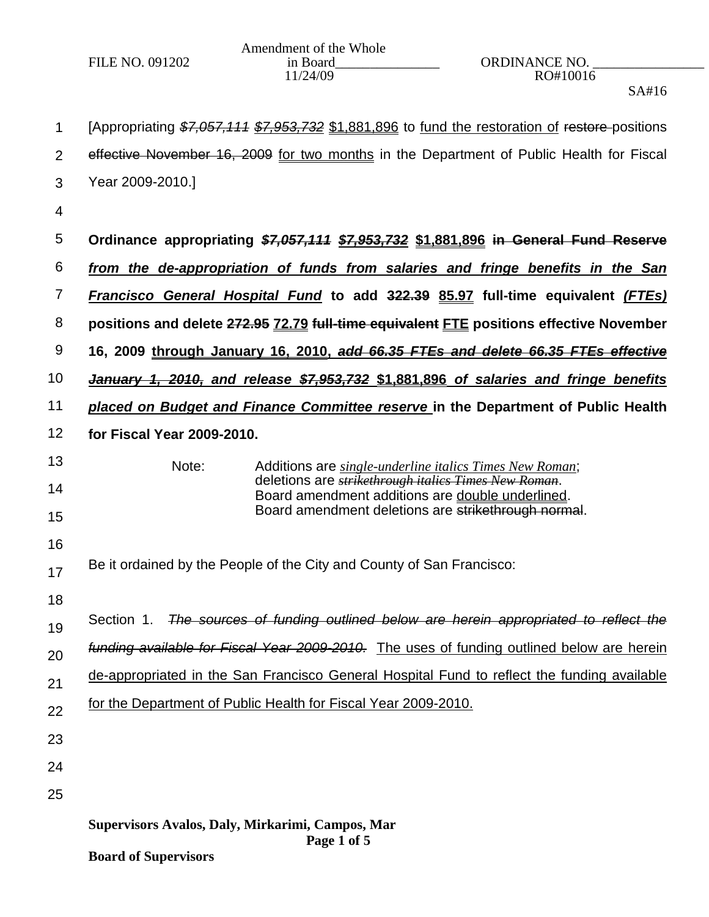|                 | Amendment of the Whole |                      |  |
|-----------------|------------------------|----------------------|--|
| FILE NO. 091202 | in Board               | <b>ORDINANCE NO.</b> |  |
|                 | 11/24/09               | RO#10016             |  |

SA#16

| 1              | [Appropriating \$7,057,111 \$7,953,732 \$1,881,896 to fund the restoration of restore-positions                  |  |  |
|----------------|------------------------------------------------------------------------------------------------------------------|--|--|
| $\overline{2}$ | effective November 16, 2009 for two months in the Department of Public Health for Fiscal                         |  |  |
| 3              | Year 2009-2010.]                                                                                                 |  |  |
| 4              |                                                                                                                  |  |  |
| 5              | Ordinance appropriating \$7,057,111 \$7,953,732 \$1,881,896 in General Fund Reserve                              |  |  |
| 6              | from the de-appropriation of funds from salaries and fringe benefits in the San                                  |  |  |
| $\overline{7}$ | Francisco General Hospital Fund to add 322.39 85.97 full-time equivalent (FTEs)                                  |  |  |
| 8              | positions and delete 272.95 72.79 full-time equivalent FTE positions effective November                          |  |  |
| 9              | 16, 2009 through January 16, 2010, add 66.35 FTEs and delete 66.35 FTEs effective                                |  |  |
| 10             | January 1, 2010, and release \$7,953,732 \$1,881,896 of salaries and fringe benefits                             |  |  |
| 11             | placed on Budget and Finance Committee reserve in the Department of Public Health                                |  |  |
| 12             | for Fiscal Year 2009-2010.                                                                                       |  |  |
| 13             | Note:<br>Additions are <i>single-underline italics Times New Roman</i> ;                                         |  |  |
| 14             | deletions are <i>strikethrough italics Times New Roman</i> .<br>Board amendment additions are double underlined. |  |  |
| 15             | Board amendment deletions are strikethrough normal.                                                              |  |  |
| 16             |                                                                                                                  |  |  |
| 17             | Be it ordained by the People of the City and County of San Francisco:                                            |  |  |
| 18             |                                                                                                                  |  |  |
| 19             | Section 1. The sources of funding outlined below are herein appropriated to reflect the                          |  |  |
| 20             | funding available for Fiscal Year 2009-2010. The uses of funding outlined below are herein                       |  |  |
| 21             | de-appropriated in the San Francisco General Hospital Fund to reflect the funding available                      |  |  |
| 22             | for the Department of Public Health for Fiscal Year 2009-2010.                                                   |  |  |
| 23             |                                                                                                                  |  |  |
| 24             |                                                                                                                  |  |  |
| 25             |                                                                                                                  |  |  |
|                | Supervisors Avalos, Daly, Mirkarimi, Campos, Mar                                                                 |  |  |
|                | Page 1 of 5<br><b>Board of Supervisors</b>                                                                       |  |  |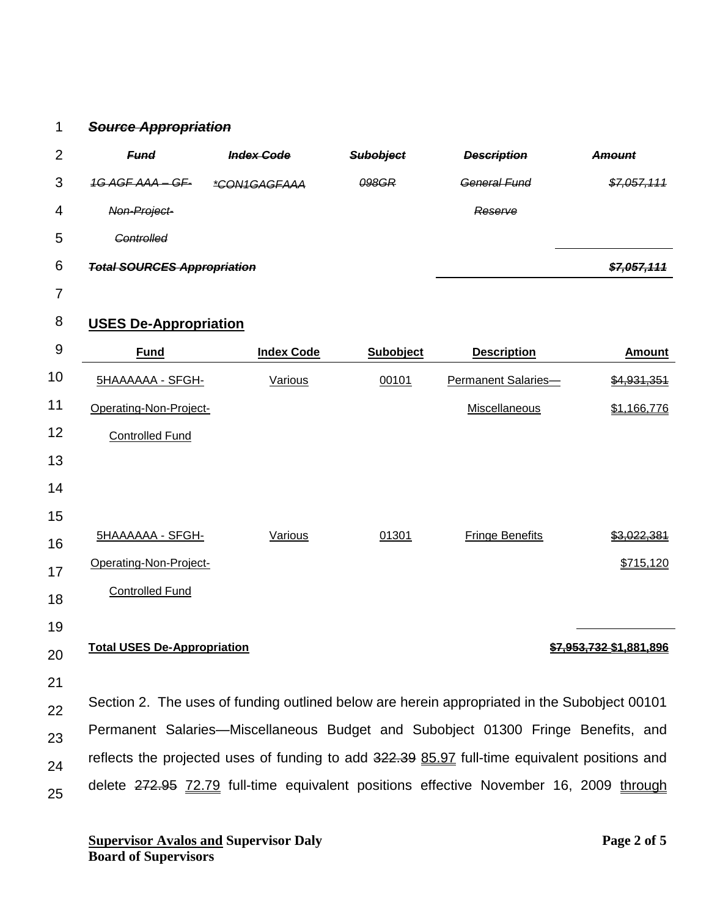## 1 *Source Appropriation*

| 2 | <b>Fund</b>                        | <b>Index Code</b> | <b>Subobject</b> | <b>Description</b> | <b>Amount</b>                                                              |
|---|------------------------------------|-------------------|------------------|--------------------|----------------------------------------------------------------------------|
| 3 | 1G AGF AAA - GF-                   | *CON1GAGFAAA      | 098GR            | General Fund       | \$7057111<br><del>,,,,,,,,,,,</del>                                        |
| 4 | Non-Project-                       |                   |                  | Reserve            |                                                                            |
| 5 | <b>Controlled</b>                  |                   |                  |                    |                                                                            |
| 6 | <b>Total SOURCES Appropriation</b> |                   |                  |                    | <u> 87 057 111</u><br>$\overline{\mathbf{v}}$ , oo $\overline{\mathbf{v}}$ |
|   |                                    |                   |                  |                    |                                                                            |

7

## 8 **USES De-Appropriation**

| 9  | <b>Fund</b>                                                                                   | <b>Index Code</b> | Subobject | <b>Description</b>         | <b>Amount</b>           |
|----|-----------------------------------------------------------------------------------------------|-------------------|-----------|----------------------------|-------------------------|
| 10 | <b>5HAAAAAA - SFGH-</b>                                                                       | Various           | 00101     | <b>Permanent Salaries-</b> | <del>\$4,931,351</del>  |
| 11 | Operating-Non-Project-                                                                        |                   |           | Miscellaneous              | \$1,166,776             |
| 12 | <b>Controlled Fund</b>                                                                        |                   |           |                            |                         |
| 13 |                                                                                               |                   |           |                            |                         |
| 14 |                                                                                               |                   |           |                            |                         |
| 15 |                                                                                               |                   |           |                            |                         |
| 16 | 5HAAAAAA - SFGH-                                                                              | Various           | 01301     | <b>Fringe Benefits</b>     | \$3.022.381             |
| 17 | Operating-Non-Project-                                                                        |                   |           |                            | \$715,120               |
| 18 | <b>Controlled Fund</b>                                                                        |                   |           |                            |                         |
| 19 |                                                                                               |                   |           |                            |                         |
| 20 | <b>Total USES De-Appropriation</b>                                                            |                   |           |                            | \$7,953,732 \$1,881,896 |
| 21 |                                                                                               |                   |           |                            |                         |
| 22 | Section 2. The uses of funding outlined below are herein appropriated in the Subobject 00101  |                   |           |                            |                         |
| 23 | Permanent Salaries—Miscellaneous Budget and Subobject 01300 Fringe Benefits, and              |                   |           |                            |                         |
| 24 | reflects the projected uses of funding to add 322.39 85.97 full-time equivalent positions and |                   |           |                            |                         |
| 25 | delete 272.95 72.79 full-time equivalent positions effective November 16, 2009 through        |                   |           |                            |                         |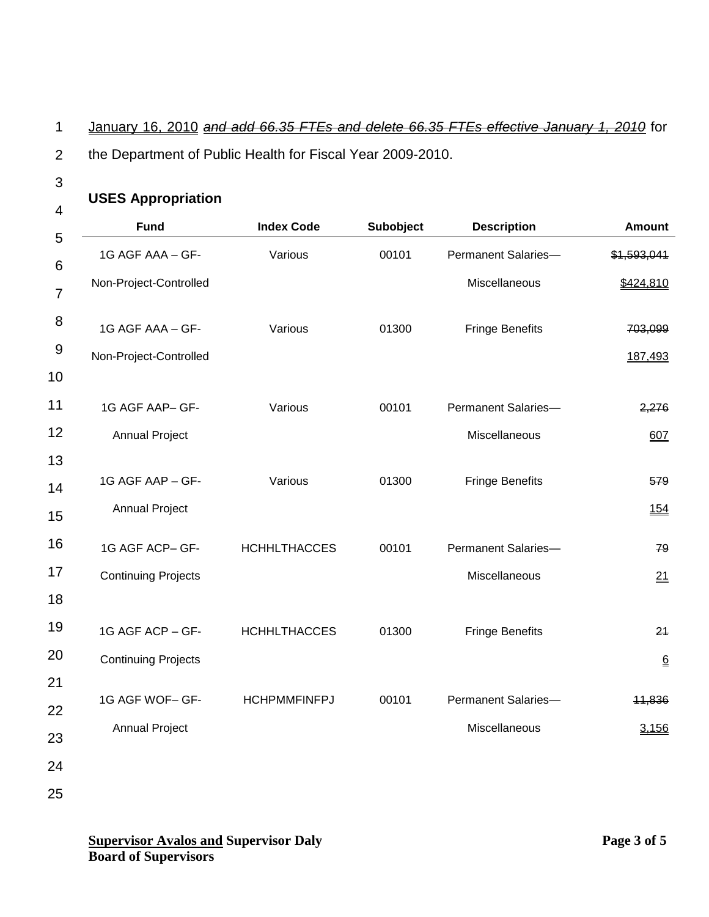## 1 January 16, 2010 *and add 66.35 FTEs and delete 66.35 FTEs effective January 1, 2010* for

- 2 the Department of Public Health for Fiscal Year 2009-2010.
- 3

## **USES Appropriation**

| <b>Fund</b>                | <b>Index Code</b>   | Subobject | <b>Description</b>     | <b>Amount</b>   |
|----------------------------|---------------------|-----------|------------------------|-----------------|
| 1G AGF AAA - GF-           | Various             | 00101     | Permanent Salaries-    | \$1,593,041     |
| Non-Project-Controlled     |                     |           | Miscellaneous          | \$424,810       |
| 1G AGF AAA - GF-           | Various             | 01300     | <b>Fringe Benefits</b> | 703,099         |
| Non-Project-Controlled     |                     |           |                        | 187,493         |
| 1G AGF AAP- GF-            | Various             | 00101     | Permanent Salaries-    | 2,276           |
| <b>Annual Project</b>      |                     |           | Miscellaneous          | 607             |
| 1G AGF AAP - GF-           | Various             | 01300     | <b>Fringe Benefits</b> | 579             |
| <b>Annual Project</b>      |                     |           |                        | 154             |
| 1G AGF ACP- GF-            | <b>HCHHLTHACCES</b> | 00101     | Permanent Salaries-    | 79              |
| <b>Continuing Projects</b> |                     |           | Miscellaneous          | 21              |
|                            |                     |           |                        |                 |
| 1G AGF ACP - GF-           | <b>HCHHLTHACCES</b> | 01300     | <b>Fringe Benefits</b> | 24              |
| <b>Continuing Projects</b> |                     |           |                        | $\underline{6}$ |
| 1G AGF WOF- GF-            | <b>HCHPMMFINFPJ</b> | 00101     | Permanent Salaries-    | 11,836          |
| <b>Annual Project</b>      |                     |           | Miscellaneous          | 3,156           |
|                            |                     |           |                        |                 |
|                            |                     |           |                        |                 |

25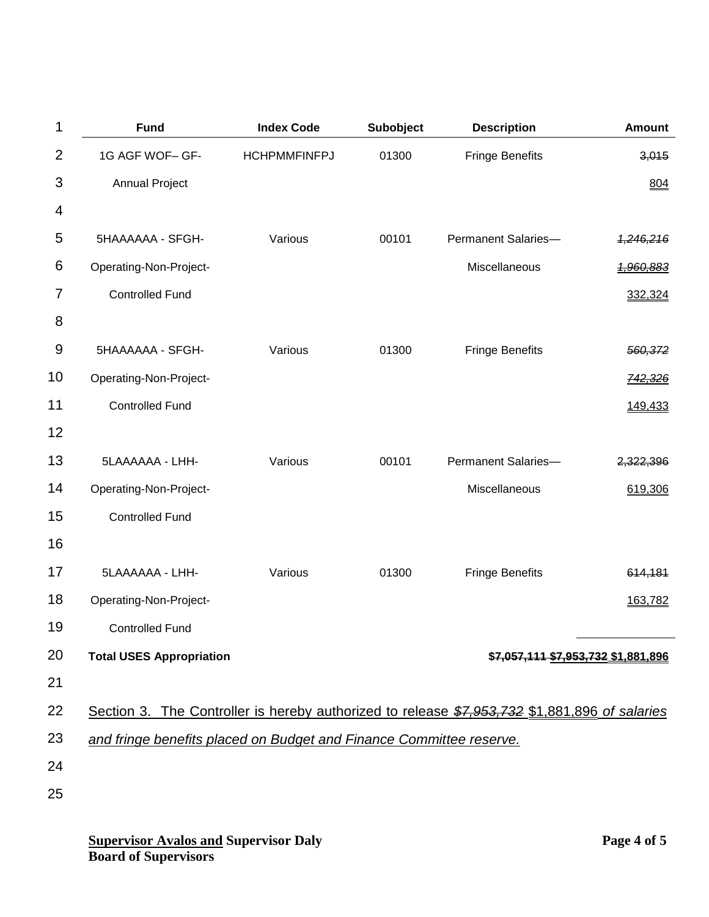| 1              | <b>Fund</b>                                                         | <b>Index Code</b>   | <b>Subobject</b> | <b>Description</b>                                                                            | <b>Amount</b>        |
|----------------|---------------------------------------------------------------------|---------------------|------------------|-----------------------------------------------------------------------------------------------|----------------------|
| $\overline{2}$ | 1G AGF WOF- GF-                                                     | <b>HCHPMMFINFPJ</b> | 01300            | <b>Fringe Benefits</b>                                                                        | 3,015                |
| 3              | <b>Annual Project</b>                                               |                     |                  |                                                                                               | 804                  |
| 4              |                                                                     |                     |                  |                                                                                               |                      |
| 5              | 5HAAAAAA - SFGH-                                                    | Various             | 00101            | Permanent Salaries-                                                                           | <del>1,246,216</del> |
| 6              | Operating-Non-Project-                                              |                     |                  | Miscellaneous                                                                                 | <del>1,960,883</del> |
| 7              | <b>Controlled Fund</b>                                              |                     |                  |                                                                                               | 332,324              |
| 8              |                                                                     |                     |                  |                                                                                               |                      |
| 9              | 5HAAAAAA - SFGH-                                                    | Various             | 01300            | <b>Fringe Benefits</b>                                                                        | 560,372              |
| 10             | Operating-Non-Project-                                              |                     |                  |                                                                                               | <del>742,326</del>   |
| 11             | <b>Controlled Fund</b>                                              |                     |                  |                                                                                               | 149,433              |
| 12             |                                                                     |                     |                  |                                                                                               |                      |
| 13             | 5LAAAAAA - LHH-                                                     | Various             | 00101            | Permanent Salaries-                                                                           | 2,322,396            |
| 14             | Operating-Non-Project-                                              |                     |                  | Miscellaneous                                                                                 | 619,306              |
| 15             | <b>Controlled Fund</b>                                              |                     |                  |                                                                                               |                      |
| 16             |                                                                     |                     |                  |                                                                                               |                      |
| 17             | 5LAAAAAA - LHH-                                                     | Various             | 01300            | <b>Fringe Benefits</b>                                                                        | 614,181              |
| 18             | Operating-Non-Project-                                              |                     |                  |                                                                                               | 163,782              |
| 19             | <b>Controlled Fund</b>                                              |                     |                  |                                                                                               |                      |
| 20             | <b>Total USES Appropriation</b>                                     |                     |                  | \$7,057,111 \$7,953,732 \$1,881,896                                                           |                      |
| 21             |                                                                     |                     |                  |                                                                                               |                      |
| 22             |                                                                     |                     |                  | Section 3. The Controller is hereby authorized to release \$7,953,732 \$1,881,896 of salaries |                      |
| 23             | and fringe benefits placed on Budget and Finance Committee reserve. |                     |                  |                                                                                               |                      |
| 24             |                                                                     |                     |                  |                                                                                               |                      |
| 25             |                                                                     |                     |                  |                                                                                               |                      |